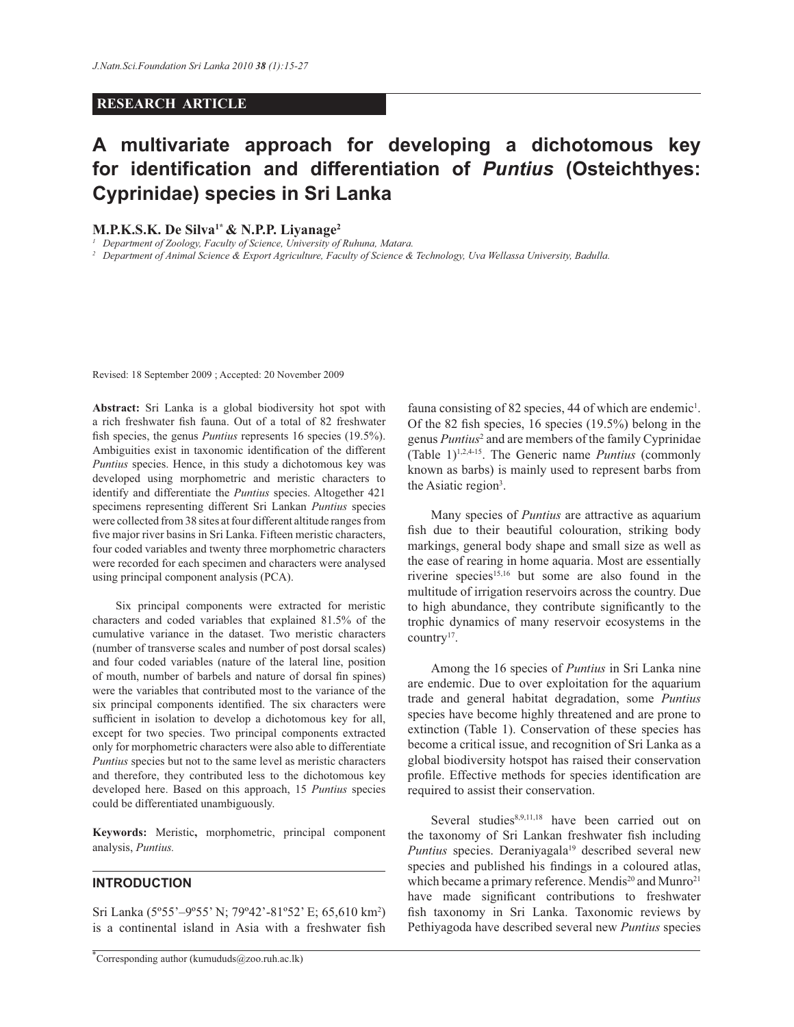#### **RESEARCH ARTICLE**

# **A multivariate approach for developing a dichotomous key for identification and differentiation of** *Puntius* **(Osteichthyes: Cyprinidae) species in Sri Lanka**

#### **M.P.K.S.K. De Silva1\* & N.P.P. Liyanage<sup>2</sup>**

*1 Department of Zoology, Faculty of Science, University of Ruhuna, Matara.*

<sup>2</sup> Department of Animal Science & Export Agriculture, Faculty of Science & Technology, Uva Wellassa University, Badulla.

Revised: 18 September 2009 ; Accepted: 20 November 2009

**Abstract:** Sri Lanka is a global biodiversity hot spot with a rich freshwater fish fauna. Out of a total of 82 freshwater fish species, the genus *Puntius* represents 16 species (19.5%). Ambiguities exist in taxonomic identification of the different *Puntius* species. Hence, in this study a dichotomous key was developed using morphometric and meristic characters to identify and differentiate the *Puntius* species. Altogether 421 specimens representing different Sri Lankan *Puntius* species were collected from 38 sites at four different altitude ranges from five major river basins in Sri Lanka. Fifteen meristic characters, four coded variables and twenty three morphometric characters were recorded for each specimen and characters were analysed using principal component analysis (PCA).

 Six principal components were extracted for meristic characters and coded variables that explained 81.5% of the cumulative variance in the dataset. Two meristic characters (number of transverse scales and number of post dorsal scales) and four coded variables (nature of the lateral line, position of mouth, number of barbels and nature of dorsal fin spines) were the variables that contributed most to the variance of the six principal components identified. The six characters were sufficient in isolation to develop a dichotomous key for all, except for two species. Two principal components extracted only for morphometric characters were also able to differentiate *Puntius* species but not to the same level as meristic characters and therefore, they contributed less to the dichotomous key developed here. Based on this approach, 15 *Puntius* species could be differentiated unambiguously.

**Keywords:** Meristic**,** morphometric, principal component analysis, *Puntius.*

# **INTRODUCTION**

Sri Lanka (5°55'–9°55' N; 79°42'-81°52' E; 65,610 km<sup>2</sup>) is a continental island in Asia with a freshwater fish

fauna consisting of 82 species, 44 of which are endemic<sup>1</sup>. Of the 82 fish species, 16 species (19.5%) belong in the genus *Puntius*<sup>2</sup> and are members of the family Cyprinidae (Table 1)1,2,4-15. The Generic name *Puntius* (commonly known as barbs) is mainly used to represent barbs from the Asiatic region<sup>3</sup>.

 Many species of *Puntius* are attractive as aquarium fish due to their beautiful colouration, striking body markings, general body shape and small size as well as the ease of rearing in home aquaria. Most are essentially riverine species<sup>15,16</sup> but some are also found in the multitude of irrigation reservoirs across the country. Due to high abundance, they contribute significantly to the trophic dynamics of many reservoir ecosystems in the country<sup>17</sup>.

 Among the 16 species of *Puntius* in Sri Lanka nine are endemic. Due to over exploitation for the aquarium trade and general habitat degradation, some *Puntius* species have become highly threatened and are prone to extinction (Table 1). Conservation of these species has become a critical issue, and recognition of Sri Lanka as a global biodiversity hotspot has raised their conservation profile. Effective methods for species identification are required to assist their conservation.

Several studies<sup>8,9,11,18</sup> have been carried out on the taxonomy of Sri Lankan freshwater fish including *Puntius* species. Deraniyagala<sup>19</sup> described several new species and published his findings in a coloured atlas, which became a primary reference. Mendis<sup>20</sup> and Munro<sup>21</sup> have made significant contributions to freshwater fish taxonomy in Sri Lanka. Taxonomic reviews by Pethiyagoda have described several new *Puntius* species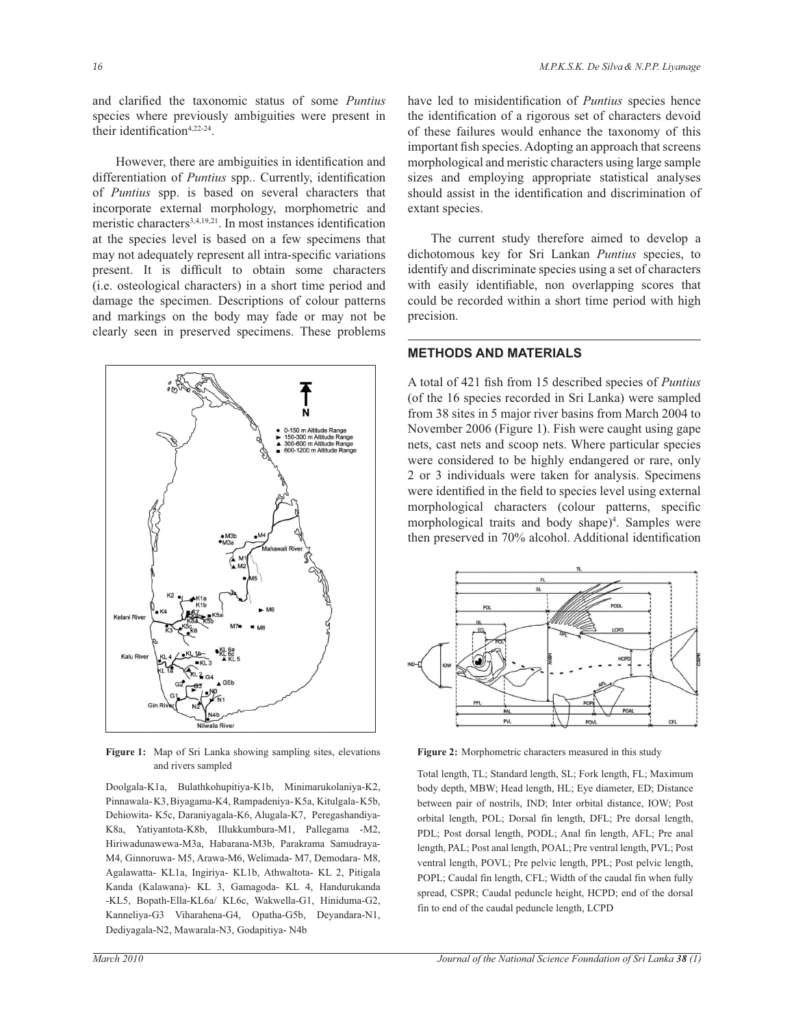and clarified the taxonomic status of some *Puntius*  species where previously ambiguities were present in their identification<sup>4,22-24</sup>.

 However, there are ambiguities in identification and differentiation of *Puntius* spp.. Currently, identification of *Puntius* spp. is based on several characters that incorporate external morphology, morphometric and meristic characters<sup>3,4,19,21</sup>. In most instances identification at the species level is based on a few specimens that may not adequately represent all intra-specific variations present. It is difficult to obtain some characters (i.e. osteological characters) in a short time period and damage the specimen. Descriptions of colour patterns and markings on the body may fade or may not be clearly seen in preserved specimens. These problems



**Figure 1:** Map of Sri Lanka showing sampling sites, elevations and rivers sampled

Doolgala-K1a, Bulathkohupitiya-K1b, Minimarukolaniya-K2, Pinnawala- K3, Biyagama-K4, Rampadeniya- K5a, Kitulgala- K5b, Dehiowita- K5c, Daraniyagala-K6, Alugala-K7, Peregashandiya-K8a, Yatiyantota-K8b, Illukkumbura-M1, Pallegama -M2, Hiriwadunawewa-M3a, Habarana-M3b, Parakrama Samudraya-M4, Ginnoruwa- M5, Arawa-M6, Welimada- M7, Demodara- M8, Agalawatta- KL1a, Ingiriya- KL1b, Athwaltota- KL 2, Pitigala Kanda (Kalawana)- KL 3, Gamagoda- KL 4, Handurukanda -KL5, Bopath-Ella-KL6a/ KL6c, Wakwella-G1, Hiniduma-G2, Kanneliya-G3 Viharahena-G4, Opatha-G5b, Deyandara-N1, Dediyagala-N2, Mawarala-N3, Godapitiya- N4b

have led to misidentification of *Puntius* species hence the identification of a rigorous set of characters devoid of these failures would enhance the taxonomy of this important fish species. Adopting an approach that screens morphological and meristic characters using large sample sizes and employing appropriate statistical analyses should assist in the identification and discrimination of extant species.

 The current study therefore aimed to develop a dichotomous key for Sri Lankan *Puntius* species, to identify and discriminate species using a set of characters with easily identifiable, non overlapping scores that could be recorded within a short time period with high precision.

# **METHODS AND MATERIALS**

A total of 421 fish from 15 described species of *Puntius* (of the 16 species recorded in Sri Lanka) were sampled from 38 sites in 5 major river basins from March 2004 to November 2006 (Figure 1). Fish were caught using gape nets, cast nets and scoop nets. Where particular species were considered to be highly endangered or rare, only 2 or 3 individuals were taken for analysis. Specimens were identified in the field to species level using external morphological characters (colour patterns, specific morphological traits and body shape)<sup>4</sup>. Samples were then preserved in 70% alcohol. Additional identification



**Figure 2:** Morphometric characters measured in this study

Total length, TL; Standard length, SL; Fork length, FL; Maximum body depth, MBW; Head length, HL; Eye diameter, ED; Distance between pair of nostrils, IND; Inter orbital distance, IOW; Post orbital length, POL; Dorsal fin length, DFL; Pre dorsal length, PDL; Post dorsal length, PODL; Anal fin length, AFL; Pre anal length, PAL; Post anal length, POAL; Pre ventral length, PVL; Post ventral length, POVL; Pre pelvic length, PPL; Post pelvic length, POPL; Caudal fin length, CFL; Width of the caudal fin when fully spread, CSPR; Caudal peduncle height, HCPD; end of the dorsal fin to end of the caudal peduncle length, LCPD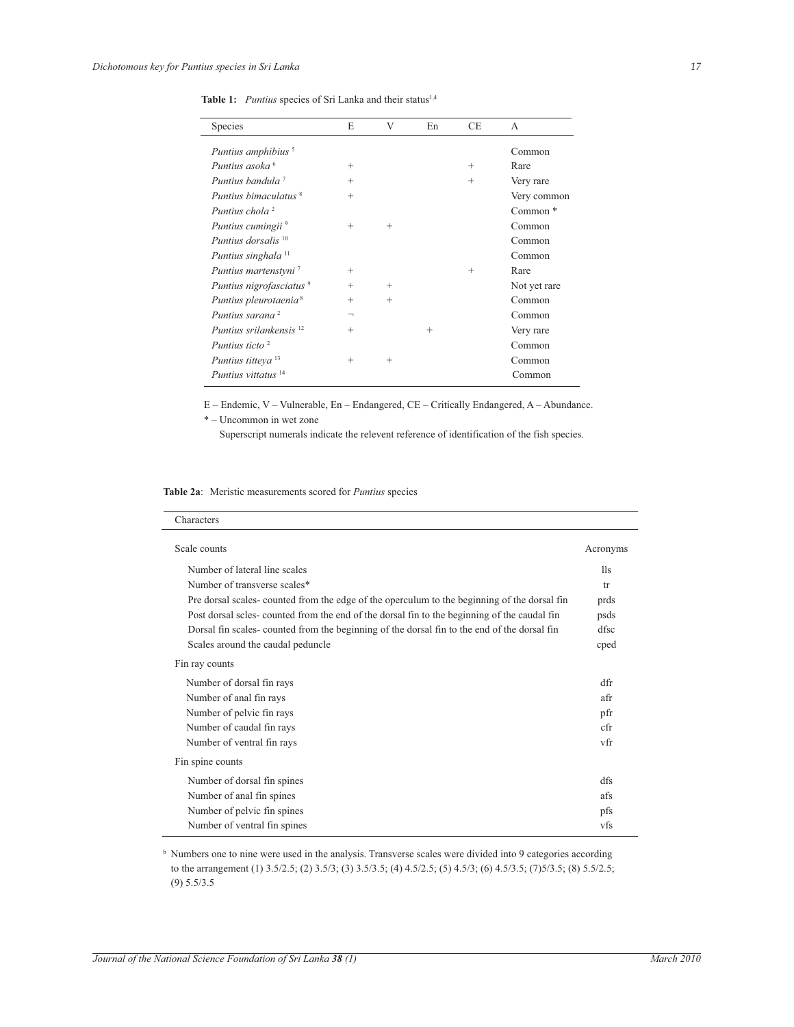Table 1: *Puntius* species of Sri Lanka and their status<sup>1,4</sup>

| Species                             | E                        | V      | En     | <b>CE</b> | A                   |
|-------------------------------------|--------------------------|--------|--------|-----------|---------------------|
| Puntius amphibius <sup>5</sup>      |                          |        |        |           | Common              |
| Puntius asoka <sup>6</sup>          | $^{+}$                   |        |        | $^{+}$    | Rare                |
| Puntius bandula <sup>7</sup>        | $^{+}$                   |        |        | $^{+}$    | Very rare           |
| Puntius himaculatus <sup>8</sup>    | $^{+}$                   |        |        |           | Very common         |
| Puntius chola <sup>2</sup>          |                          |        |        |           | Common <sup>*</sup> |
| Puntius cumingii <sup>9</sup>       | $^{+}$                   | $^{+}$ |        |           | Common              |
| Puntius dorsalis <sup>10</sup>      |                          |        |        |           | Common              |
| Puntius singhala <sup>11</sup>      |                          |        |        |           | Common              |
| Puntius martenstyni <sup>7</sup>    | $^{+}$                   |        |        | $^{+}$    | Rare                |
| Puntius nigrofasciatus <sup>9</sup> | $^{+}$                   | $^{+}$ |        |           | Not yet rare        |
| Puntius pleurotaenia <sup>8</sup>   | $^{+}$                   | $^{+}$ |        |           | Common              |
| Puntius sarana <sup>2</sup>         | $\overline{\phantom{0}}$ |        |        |           | Common              |
| Puntius srilankensis <sup>12</sup>  | $^{+}$                   |        | $^{+}$ |           | Very rare           |
| Puntius ticto <sup>2</sup>          |                          |        |        |           | Common              |
| Puntius titteya <sup>13</sup>       | $^{+}$                   | $^{+}$ |        |           | Common              |
| Puntius vittatus <sup>14</sup>      |                          |        |        |           | Common              |

E – Endemic, V – Vulnerable, En – Endangered, CE – Critically Endangered, A – Abundance.

\* – Uncommon in wet zone

Superscript numerals indicate the relevent reference of identification of the fish species.

**Table 2a**: Meristic measurements scored for *Puntius* species

| Characters                                                                                   |          |
|----------------------------------------------------------------------------------------------|----------|
| Scale counts                                                                                 | Acronyms |
| Number of lateral line scales                                                                | 11s      |
| Number of transverse scales*                                                                 | tr       |
| Pre dorsal scales- counted from the edge of the operculum to the beginning of the dorsal fin | prds     |
| Post dorsal scles- counted from the end of the dorsal fin to the beginning of the caudal fin | psds     |
| Dorsal fin scales-counted from the beginning of the dorsal fin to the end of the dorsal fin  | dfsc     |
| Scales around the caudal peduncle                                                            | cped     |
| Fin ray counts                                                                               |          |
| Number of dorsal fin rays                                                                    | dfr      |
| Number of anal fin rays                                                                      | afr      |
| Number of pelvic fin rays                                                                    | pfr      |
| Number of caudal fin rays                                                                    | cfr      |
| Number of ventral fin rays                                                                   | vfr      |
| Fin spine counts                                                                             |          |
| Number of dorsal fin spines                                                                  | dfs      |
| Number of anal fin spines                                                                    | afs      |
| Number of pelvic fin spines                                                                  | pfs      |
| Number of ventral fin spines                                                                 | vfs      |

<sup>b</sup> Numbers one to nine were used in the analysis. Transverse scales were divided into 9 categories according to the arrangement (1) 3.5/2.5; (2) 3.5/3; (3) 3.5/3.5; (4) 4.5/2.5; (5) 4.5/3; (6) 4.5/3.5; (7)5/3.5; (8) 5.5/2.5; (9) 5.5/3.5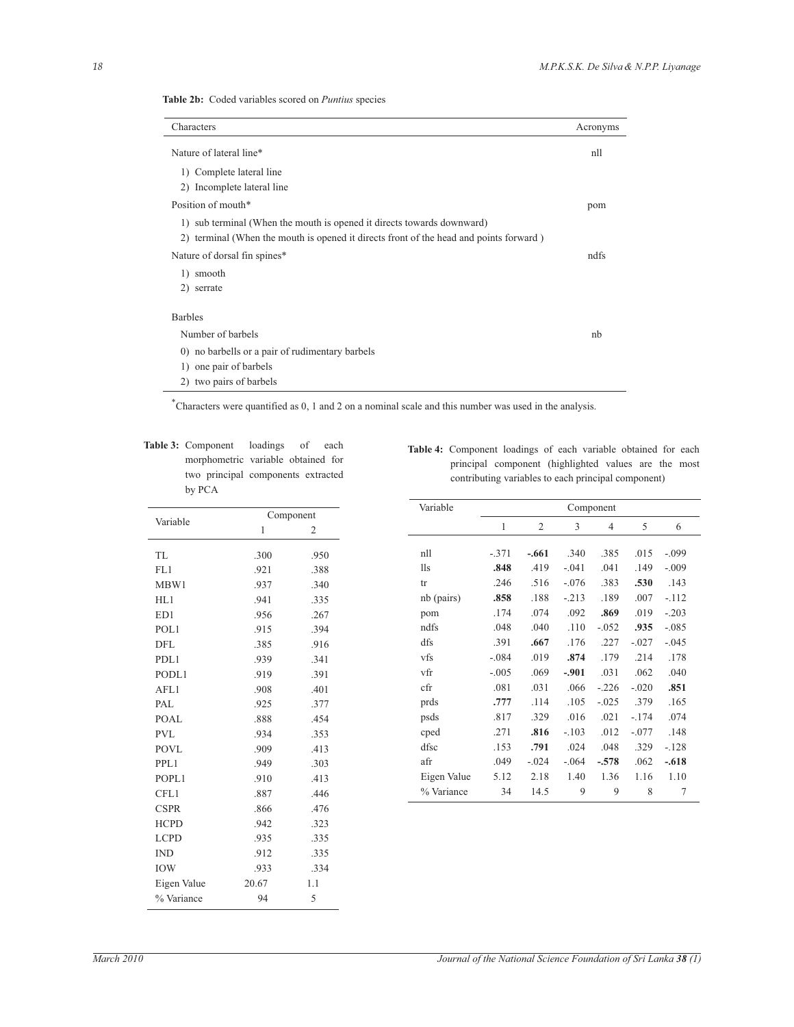| Table 2b: Coded variables scored on <i>Puntius</i> species |  |  |  |  |  |
|------------------------------------------------------------|--|--|--|--|--|
|------------------------------------------------------------|--|--|--|--|--|

| Characters                                                                             | Acronyms |
|----------------------------------------------------------------------------------------|----------|
| Nature of lateral line*                                                                | n11      |
| 1) Complete lateral line                                                               |          |
| 2) Incomplete lateral line                                                             |          |
| Position of mouth*                                                                     | pom      |
| 1) sub terminal (When the mouth is opened it directs towards downward)                 |          |
| 2) terminal (When the mouth is opened it directs front of the head and points forward) |          |
| Nature of dorsal fin spines*                                                           | ndfs     |
| 1) smooth                                                                              |          |
| 2) serrate                                                                             |          |
| <b>Barbles</b>                                                                         |          |
| Number of barbels                                                                      | nb       |
| 0) no barbells or a pair of rudimentary barbels                                        |          |
| one pair of barbels<br>1)                                                              |          |
| two pairs of barbels<br>2)                                                             |          |

\*Characters were quantified as 0, 1 and 2 on a nominal scale and this number was used in the analysis.

**Table 3:** Component loadings of each morphometric variable obtained for two principal components extracted by PCA

|             |       | Component |  |
|-------------|-------|-----------|--|
| Variable    | 1     | 2         |  |
| TL          | .300  | .950      |  |
| FL1         | .921  | .388      |  |
| MBW1        | .937  | .340      |  |
| HL1         | .941  | .335      |  |
| ED1         | .956  | .267      |  |
| POL1        | .915  | .394      |  |
| <b>DFL</b>  | .385  | .916      |  |
| PDL1        | .939  | .341      |  |
| PODL1       | .919  | .391      |  |
| AFL1        | .908  | .401      |  |
| PAL         | .925  | .377      |  |
| POAL        | .888  | .454      |  |
| <b>PVL</b>  | .934  | .353      |  |
| <b>POVL</b> | .909  | .413      |  |
| PPL1        | .949  | .303      |  |
| POPL1       | .910  | .413      |  |
| CFL1        | .887  | .446      |  |
| <b>CSPR</b> | .866  | .476      |  |
| <b>HCPD</b> | .942  | .323      |  |
| <b>LCPD</b> | .935  | .335      |  |
| <b>IND</b>  | .912  | .335      |  |
| <b>IOW</b>  | .933  | .334      |  |
| Eigen Value | 20.67 | 1.1       |  |
| % Variance  | 94    | 5         |  |

**Table 4:** Component loadings of each variable obtained for each principal component (highlighted values are the most contributing variables to each principal component)

| Variable    | Component |                |         |                |         |         |  |  |
|-------------|-----------|----------------|---------|----------------|---------|---------|--|--|
|             | 1         | $\overline{2}$ | 3       | $\overline{4}$ | 5       | 6       |  |  |
|             |           |                |         |                |         |         |  |  |
| n11         | $-.371$   | $-.661$        | .340    | .385           | .015    | $-.099$ |  |  |
| 11s         | .848      | .419           | $-.041$ | .041           | .149    | $-.009$ |  |  |
| tr          | .246      | .516           | $-.076$ | .383           | .530    | .143    |  |  |
| nb (pairs)  | .858      | .188           | $-.213$ | .189           | .007    | $-112$  |  |  |
| pom         | .174      | .074           | .092    | .869           | .019    | $-.203$ |  |  |
| ndfs        | .048      | .040           | .110    | $-.052$        | .935    | $-.085$ |  |  |
| dfs         | .391      | .667           | .176    | .227           | $-.027$ | $-.045$ |  |  |
| vfs         | $-.084$   | .019           | .874    | .179           | .214    | .178    |  |  |
| vfr         | $-.005$   | .069           | $-.901$ | .031           | .062    | .040    |  |  |
| cfr         | .081      | .031           | .066    | $-.226$        | $-.020$ | .851    |  |  |
| prds        | .777      | .114           | .105    | $-.025$        | .379    | .165    |  |  |
| psds        | .817      | .329           | .016    | .021           | $-.174$ | .074    |  |  |
| cped        | .271      | .816           | $-.103$ | .012           | $-.077$ | .148    |  |  |
| dfsc        | .153      | .791           | .024    | .048           | .329    | $-.128$ |  |  |
| afr         | .049      | $-.024$        | $-.064$ | $-.578$        | .062    | $-.618$ |  |  |
| Eigen Value | 5.12      | 2.18           | 1.40    | 1.36           | 1.16    | 1.10    |  |  |
| % Variance  | 34        | 14.5           | 9       | 9              | 8       | 7       |  |  |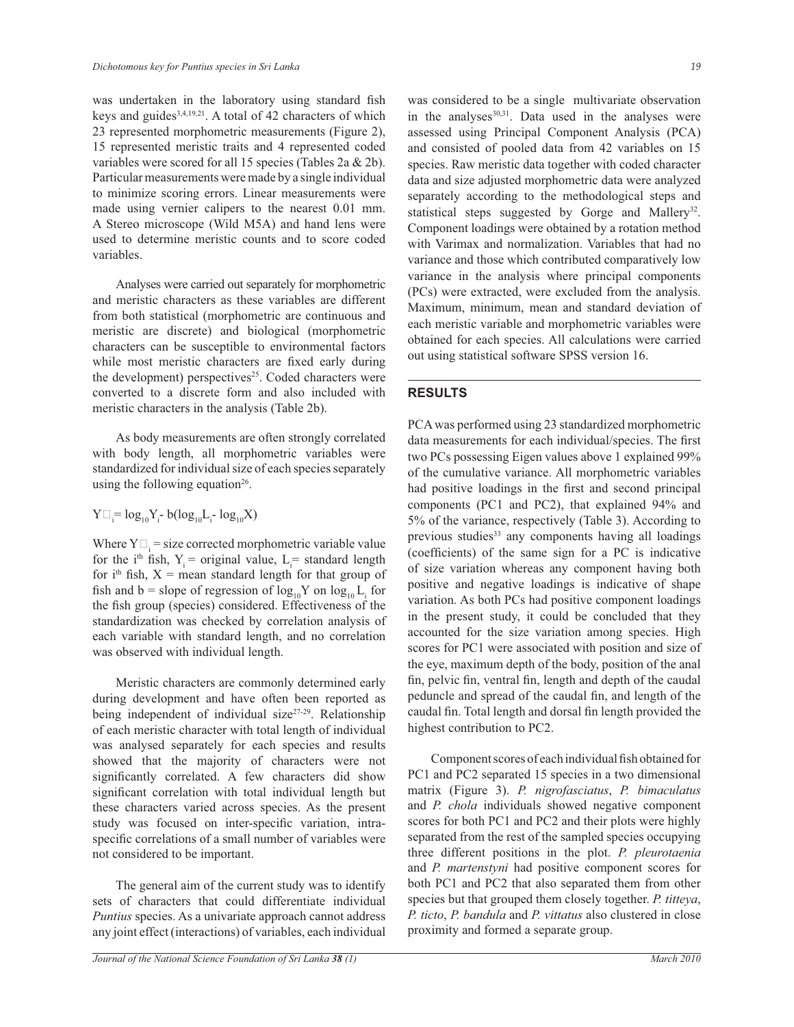was undertaken in the laboratory using standard fish keys and guides<sup>3,4,19,21</sup>. A total of 42 characters of which 23 represented morphometric measurements (Figure 2), 15 represented meristic traits and 4 represented coded variables were scored for all 15 species (Tables 2a & 2b). Particular measurements were made by a single individual to minimize scoring errors. Linear measurements were made using vernier calipers to the nearest 0.01 mm. A Stereo microscope (Wild M5A) and hand lens were used to determine meristic counts and to score coded variables.

 Analyses were carried out separately for morphometric and meristic characters as these variables are different from both statistical (morphometric are continuous and meristic are discrete) and biological (morphometric characters can be susceptible to environmental factors while most meristic characters are fixed early during the development) perspectives<sup>25</sup>. Coded characters were converted to a discrete form and also included with meristic characters in the analysis (Table 2b).

 As body measurements are often strongly correlated with body length, all morphometric variables were standardized for individual size of each species separately using the following equation<sup>26</sup>.

$$
Y\Box_{i}^{\vphantom{1}}\!\!\!\equiv\!\log_{10}\!Y_{i}^{\vphantom{1}}\!\!\!\!- \text{b}(\log_{10}\!L_{i}^{\vphantom{1}}\!\!\!\!- \log_{10}\!X)
$$

Where  $Y \Box_i$  = size corrected morphometric variable value for the i<sup>th</sup> fish,  $Y_i$  = original value,  $L_i$  = standard length for  $i<sup>th</sup>$  fish,  $X =$  mean standard length for that group of fish and b = slope of regression of  $log_{10}Y$  on  $log_{10}L_i$  for the fish group (species) considered. Effectiveness of the standardization was checked by correlation analysis of each variable with standard length, and no correlation was observed with individual length.

 Meristic characters are commonly determined early during development and have often been reported as being independent of individual size $27-29$ . Relationship of each meristic character with total length of individual was analysed separately for each species and results showed that the majority of characters were not significantly correlated. A few characters did show significant correlation with total individual length but these characters varied across species. As the present study was focused on inter-specific variation, intraspecific correlations of a small number of variables were not considered to be important.

 The general aim of the current study was to identify sets of characters that could differentiate individual *Puntius* species. As a univariate approach cannot address any joint effect (interactions) of variables, each individual was considered to be a single multivariate observation in the analyses<sup>30,31</sup>. Data used in the analyses were assessed using Principal Component Analysis (PCA) and consisted of pooled data from 42 variables on 15 species. Raw meristic data together with coded character data and size adjusted morphometric data were analyzed separately according to the methodological steps and statistical steps suggested by Gorge and Mallery<sup>32</sup>. Component loadings were obtained by a rotation method with Varimax and normalization. Variables that had no variance and those which contributed comparatively low variance in the analysis where principal components (PCs) were extracted, were excluded from the analysis. Maximum, minimum, mean and standard deviation of each meristic variable and morphometric variables were obtained for each species. All calculations were carried out using statistical software SPSS version 16.

#### **RESULTS**

PCA was performed using 23 standardized morphometric data measurements for each individual/species. The first two PCs possessing Eigen values above 1 explained 99% of the cumulative variance. All morphometric variables had positive loadings in the first and second principal components (PC1 and PC2), that explained 94% and 5% of the variance, respectively (Table 3). According to previous studies<sup>33</sup> any components having all loadings (coefficients) of the same sign for a PC is indicative of size variation whereas any component having both positive and negative loadings is indicative of shape variation. As both PCs had positive component loadings in the present study, it could be concluded that they accounted for the size variation among species. High scores for PC1 were associated with position and size of the eye, maximum depth of the body, position of the anal fin, pelvic fin, ventral fin, length and depth of the caudal peduncle and spread of the caudal fin, and length of the caudal fin. Total length and dorsal fin length provided the highest contribution to PC2.

 Component scores of each individual fish obtained for PC1 and PC2 separated 15 species in a two dimensional matrix (Figure 3). *P. nigrofasciatus*, *P. bimaculatus* and *P. chola* individuals showed negative component scores for both PC1 and PC2 and their plots were highly separated from the rest of the sampled species occupying three different positions in the plot. *P. pleurotaenia*  and *P. martenstyni* had positive component scores for both PC1 and PC2 that also separated them from other species but that grouped them closely together. *P. titteya*, *P. ticto*, *P. bandula* and *P. vittatus* also clustered in close proximity and formed a separate group.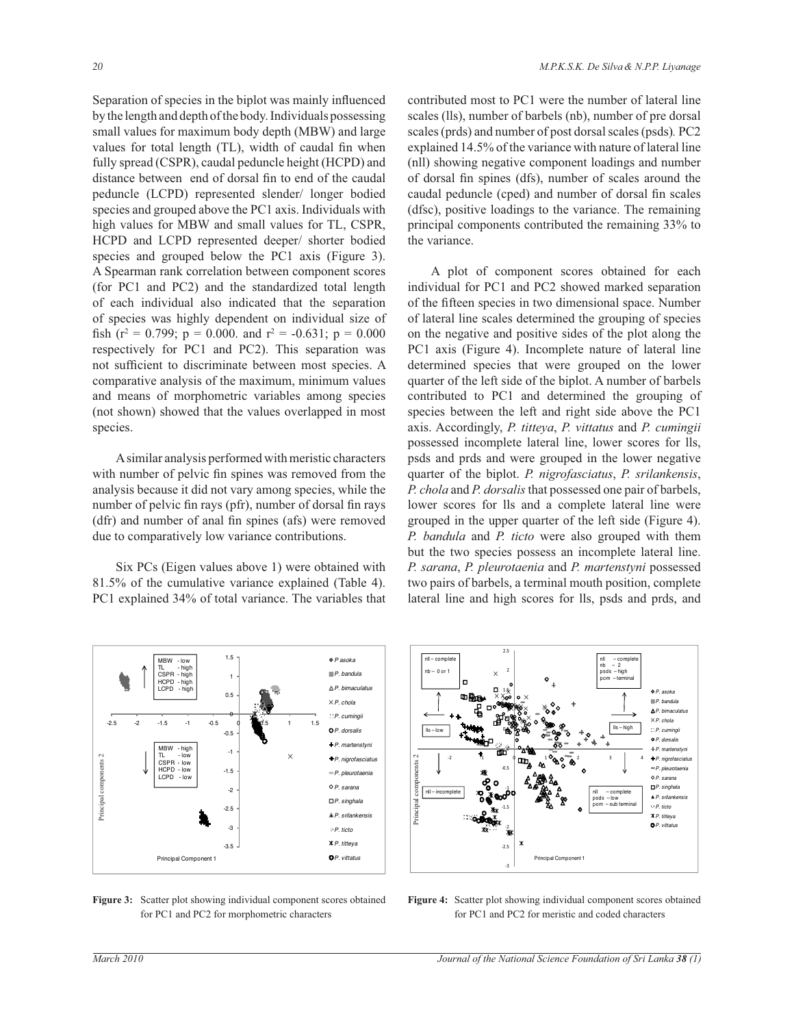Separation of species in the biplot was mainly influenced by the length and depth of the body. Individuals possessing small values for maximum body depth (MBW) and large values for total length (TL), width of caudal fin when fully spread (CSPR), caudal peduncle height (HCPD) and distance between end of dorsal fin to end of the caudal peduncle (LCPD) represented slender/ longer bodied species and grouped above the PC1 axis. Individuals with high values for MBW and small values for TL, CSPR, HCPD and LCPD represented deeper/ shorter bodied species and grouped below the PC1 axis (Figure 3). A Spearman rank correlation between component scores (for PC1 and PC2) and the standardized total length of each individual also indicated that the separation of species was highly dependent on individual size of fish ( $r^2 = 0.799$ ;  $p = 0.000$ . and  $r^2 = -0.631$ ;  $p = 0.000$ respectively for PC1 and PC2). This separation was not sufficient to discriminate between most species. A comparative analysis of the maximum, minimum values and means of morphometric variables among species (not shown) showed that the values overlapped in most species.

 A similar analysis performed with meristic characters with number of pelvic fin spines was removed from the analysis because it did not vary among species, while the number of pelvic fin rays (pfr), number of dorsal fin rays (dfr) and number of anal fin spines (afs) were removed due to comparatively low variance contributions.

 Six PCs (Eigen values above 1) were obtained with 81.5% of the cumulative variance explained (Table 4). PC1 explained 34% of total variance. The variables that contributed most to PC1 were the number of lateral line scales (lls), number of barbels (nb), number of pre dorsal scales (prds) and number of post dorsal scales (psds)*.* PC2 explained 14.5% of the variance with nature of lateral line (nll) showing negative component loadings and number of dorsal fin spines (dfs), number of scales around the caudal peduncle (cped) and number of dorsal fin scales (dfsc), positive loadings to the variance. The remaining principal components contributed the remaining 33% to the variance.

 A plot of component scores obtained for each individual for PC1 and PC2 showed marked separation of the fifteen species in two dimensional space. Number of lateral line scales determined the grouping of species on the negative and positive sides of the plot along the PC1 axis (Figure 4). Incomplete nature of lateral line determined species that were grouped on the lower quarter of the left side of the biplot. A number of barbels contributed to PC1 and determined the grouping of species between the left and right side above the PC1 axis. Accordingly, *P. titteya*, *P. vittatus* and *P. cumingii* possessed incomplete lateral line, lower scores for lls, psds and prds and were grouped in the lower negative quarter of the biplot. *P. nigrofasciatus*, *P. srilankensis*, *P. chola* and *P. dorsalis* that possessed one pair of barbels, lower scores for lls and a complete lateral line were grouped in the upper quarter of the left side (Figure 4). *P. bandula* and *P. ticto* were also grouped with them but the two species possess an incomplete lateral line. *P. sarana*, *P. pleurotaenia* and *P. martenstyni* possessed two pairs of barbels, a terminal mouth position, complete lateral line and high scores for lls, psds and prds, and



**Figure 3:** Scatter plot showing individual component scores obtained for PC1 and PC2 for morphometric characters



**Figure 4:** Scatter plot showing individual component scores obtained for PC1 and PC2 for meristic and coded characters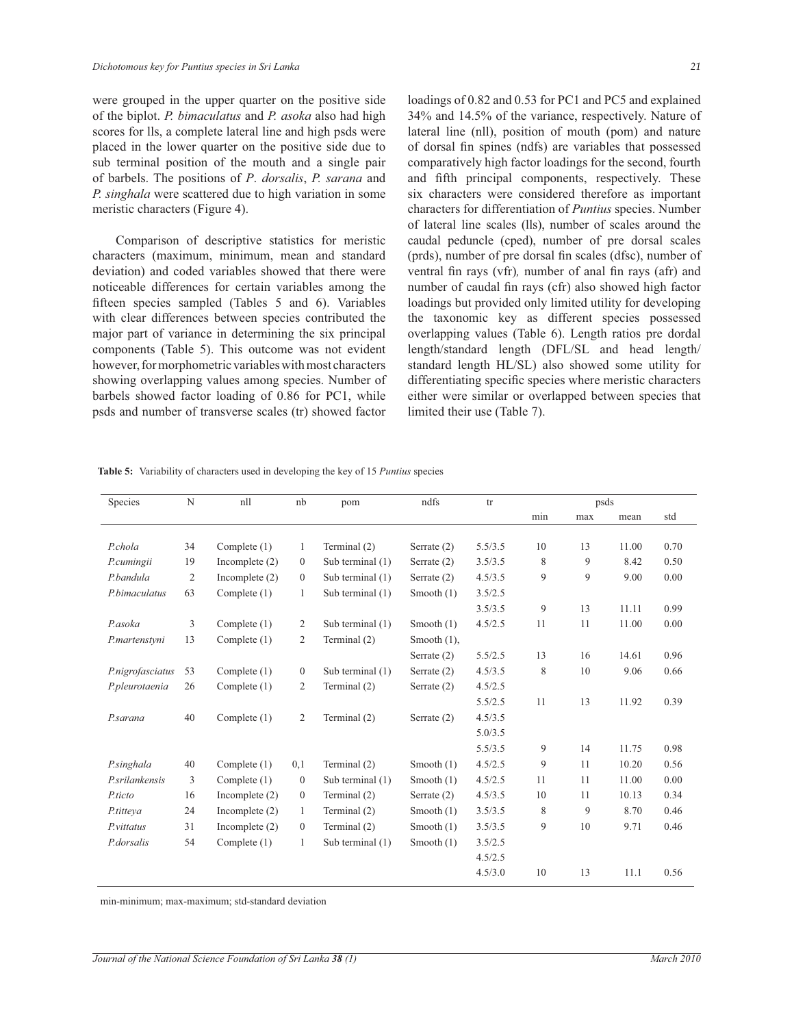were grouped in the upper quarter on the positive side of the biplot. *P. bimaculatus* and *P. asoka* also had high scores for lls, a complete lateral line and high psds were placed in the lower quarter on the positive side due to sub terminal position of the mouth and a single pair of barbels. The positions of *P*. *dorsalis*, *P. sarana* and *P. singhala* were scattered due to high variation in some meristic characters (Figure 4).

 Comparison of descriptive statistics for meristic characters (maximum, minimum, mean and standard deviation) and coded variables showed that there were noticeable differences for certain variables among the fifteen species sampled (Tables 5 and 6). Variables with clear differences between species contributed the major part of variance in determining the six principal components (Table 5). This outcome was not evident however, for morphometric variables with most characters showing overlapping values among species. Number of barbels showed factor loading of 0.86 for PC1, while psds and number of transverse scales (tr) showed factor

loadings of 0.82 and 0.53 for PC1 and PC5 and explained 34% and 14.5% of the variance, respectively. Nature of lateral line (nll), position of mouth (pom) and nature of dorsal fin spines (ndfs) are variables that possessed comparatively high factor loadings for the second, fourth and fifth principal components, respectively. These six characters were considered therefore as important characters for differentiation of *Puntius* species. Number of lateral line scales (lls), number of scales around the caudal peduncle (cped), number of pre dorsal scales (prds), number of pre dorsal fin scales (dfsc), number of

ventral fin rays (vfr)*,* number of anal fin rays (afr) and number of caudal fin rays (cfr) also showed high factor loadings but provided only limited utility for developing the taxonomic key as different species possessed overlapping values (Table 6). Length ratios pre dordal length/standard length (DFL/SL and head length/ standard length HL/SL) also showed some utility for differentiating specific species where meristic characters either were similar or overlapped between species that limited their use (Table 7).

| Species           | N              | nll              | nb             | pom              | ndfs           | tr      |     | psds |       |      |
|-------------------|----------------|------------------|----------------|------------------|----------------|---------|-----|------|-------|------|
|                   |                |                  |                |                  |                |         | min | max  | mean  | std  |
|                   |                |                  |                |                  |                |         |     |      |       |      |
| P.chola           | 34             | Complete $(1)$   | 1              | Terminal (2)     | Serrate $(2)$  | 5.5/3.5 | 10  | 13   | 11.00 | 0.70 |
| P.cumingii        | 19             | Incomplete $(2)$ | $\mathbf{0}$   | Sub terminal (1) | Serrate $(2)$  | 3.5/3.5 | 8   | 9    | 8.42  | 0.50 |
| P.bandula         | $\overline{2}$ | Incomplete $(2)$ | $\mathbf{0}$   | Sub terminal (1) | Serrate $(2)$  | 4.5/3.5 | 9   | 9    | 9.00  | 0.00 |
| P.bimaculatus     | 63             | Complete $(1)$   | 1              | Sub terminal (1) | Smooth $(1)$   | 3.5/2.5 |     |      |       |      |
|                   |                |                  |                |                  |                | 3.5/3.5 | 9   | 13   | 11.11 | 0.99 |
| P.asoka           | 3              | Complete $(1)$   | $\overline{c}$ | Sub terminal (1) | Smooth $(1)$   | 4.5/2.5 | 11  | 11   | 11.00 | 0.00 |
| P.martenstyni     | 13             | Complete $(1)$   | $\overline{2}$ | Terminal (2)     | Smooth $(1)$ , |         |     |      |       |      |
|                   |                |                  |                |                  | Serrate $(2)$  | 5.5/2.5 | 13  | 16   | 14.61 | 0.96 |
| P.nigrofasciatus  | 53             | Complete $(1)$   | $\mathbf{0}$   | Sub terminal (1) | Serrate (2)    | 4.5/3.5 | 8   | 10   | 9.06  | 0.66 |
| P.pleurotaenia    | 26             | Complete $(1)$   | $\overline{2}$ | Terminal (2)     | Serrate $(2)$  | 4.5/2.5 |     |      |       |      |
|                   |                |                  |                |                  |                | 5.5/2.5 | 11  | 13   | 11.92 | 0.39 |
| P.sarana          | 40             | Complete $(1)$   | $\overline{2}$ | Terminal (2)     | Serrate $(2)$  | 4.5/3.5 |     |      |       |      |
|                   |                |                  |                |                  |                | 5.0/3.5 |     |      |       |      |
|                   |                |                  |                |                  |                | 5.5/3.5 | 9   | 14   | 11.75 | 0.98 |
| P.singhala        | 40             | Complete $(1)$   | 0,1            | Terminal (2)     | Smooth $(1)$   | 4.5/2.5 | 9   | 11   | 10.20 | 0.56 |
| P.srilankensis    | 3              | Complete $(1)$   | $\mathbf{0}$   | Sub terminal (1) | Smooth $(1)$   | 4.5/2.5 | 11  | 11   | 11.00 | 0.00 |
| P.ticto           | 16             | Incomplete $(2)$ | $\mathbf{0}$   | Terminal (2)     | Serrate $(2)$  | 4.5/3.5 | 10  | 11   | 10.13 | 0.34 |
| P.titteva         | 24             | Incomplete $(2)$ | $\mathbf{1}$   | Terminal (2)     | Smooth $(1)$   | 3.5/3.5 | 8   | 9    | 8.70  | 0.46 |
| <i>P.vittatus</i> | 31             | Incomplete $(2)$ | $\mathbf{0}$   | Terminal (2)     | Smooth $(1)$   | 3.5/3.5 | 9   | 10   | 9.71  | 0.46 |
| P.dorsalis        | 54             | Complete $(1)$   | 1              | Sub terminal (1) | Smooth (1)     | 3.5/2.5 |     |      |       |      |
|                   |                |                  |                |                  |                | 4.5/2.5 |     |      |       |      |
|                   |                |                  |                |                  |                | 4.5/3.0 | 10  | 13   | 11.1  | 0.56 |
|                   |                |                  |                |                  |                |         |     |      |       |      |

**Table 5:** Variability of characters used in developing the key of 15 *Puntius* species

min-minimum; max-maximum; std-standard deviation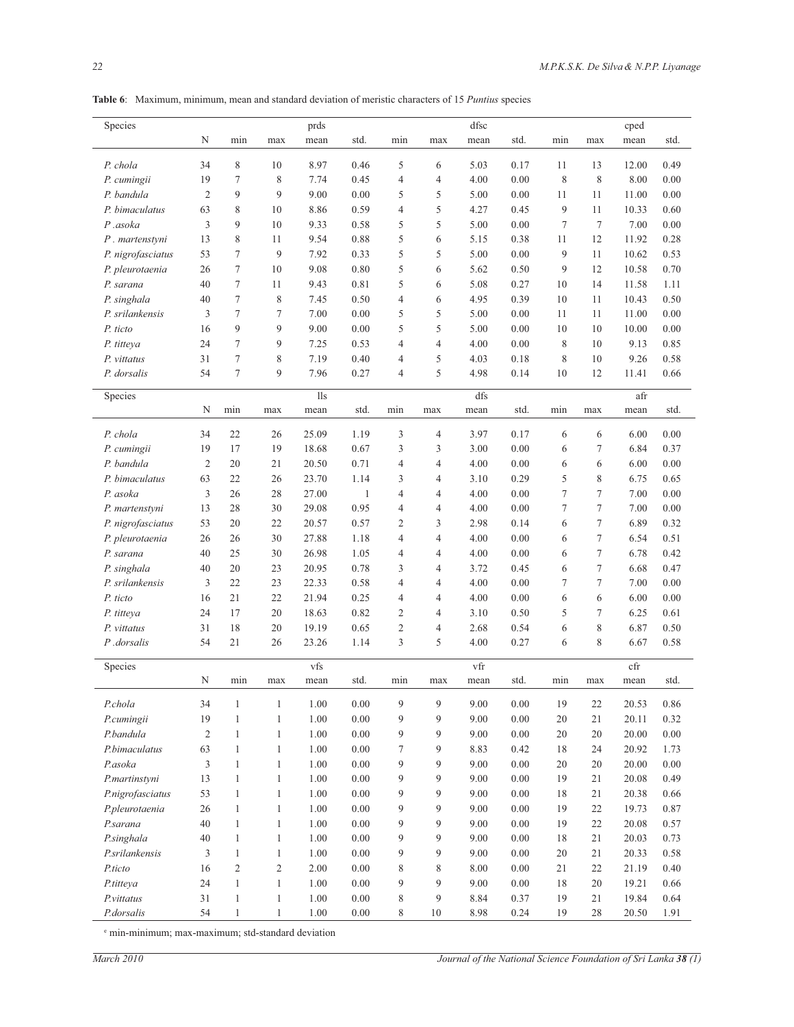| Species                 |                |                |                | prds     |              |                |                | dfsc |          |        |        | cped  |      |
|-------------------------|----------------|----------------|----------------|----------|--------------|----------------|----------------|------|----------|--------|--------|-------|------|
| N                       |                | min            | max            | mean     | std.         | min            | max            | mean | std.     | min    | max    | mean  | std. |
| 34<br>P. chola          |                | $\,$ 8 $\,$    | 10             | 8.97     | 0.46         | 5              | 6              | 5.03 | 0.17     | 11     | 13     | 12.00 | 0.49 |
| 19<br>P. cumingii       |                | $\tau$         | 8              | 7.74     | 0.45         | $\overline{4}$ | 4              | 4.00 | 0.00     | 8      | 8      | 8.00  | 0.00 |
| P. bandula              | $\overline{2}$ | 9              | 9              | 9.00     | 0.00         | 5              | 5              | 5.00 | 0.00     | 11     | 11     | 11.00 | 0.00 |
| 63<br>P. bimaculatus    |                | 8              | 10             | 8.86     | 0.59         | $\overline{4}$ | 5              | 4.27 | 0.45     | 9      | 11     | 10.33 | 0.60 |
| P.asoka                 | 3              | 9              | 10             | 9.33     | 0.58         | 5              | 5              | 5.00 | 0.00     | $\tau$ | $\tau$ | 7.00  | 0.00 |
| 13<br>P. martenstyni    |                | 8              | 11             | 9.54     | 0.88         | 5              | 6              | 5.15 | 0.38     | 11     | 12     | 11.92 | 0.28 |
| 53<br>P. nigrofasciatus |                | $\tau$         | 9              | 7.92     | 0.33         | 5              | 5              | 5.00 | 0.00     | 9      | 11     | 10.62 | 0.53 |
| 26<br>P. pleurotaenia   |                | $\tau$         | 10             | 9.08     | 0.80         | 5              | 6              | 5.62 | 0.50     | 9      | 12     | 10.58 | 0.70 |
| 40<br>P. sarana         |                | $\tau$         | 11             | 9.43     | 0.81         | 5              | 6              | 5.08 | 0.27     | 10     | 14     | 11.58 | 1.11 |
| 40<br>P. singhala       |                | $\tau$         | 8              | 7.45     | 0.50         | $\overline{4}$ | 6              | 4.95 | 0.39     | 10     | 11     | 10.43 | 0.50 |
| P. srilankensis         | 3              | $\tau$         | 7              | 7.00     | 0.00         | 5              | 5              | 5.00 | 0.00     | 11     | 11     | 11.00 | 0.00 |
| P. ticto<br>16          |                | 9              | 9              | 9.00     | 0.00         | 5              | 5              | 5.00 | 0.00     | 10     | 10     | 10.00 | 0.00 |
| 24<br>P. titteya        |                | 7              | 9              | 7.25     | 0.53         | $\overline{4}$ | $\overline{4}$ | 4.00 | 0.00     | 8      | 10     | 9.13  | 0.85 |
| 31<br>P. vittatus       |                | 7              | 8              | 7.19     | 0.40         | 4              | 5              | 4.03 | 0.18     | 8      | 10     | 9.26  | 0.58 |
| 54<br>P. dorsalis       |                | $\tau$         | 9              | 7.96     | 0.27         | $\overline{4}$ | 5              | 4.98 | 0.14     | 10     | 12     | 11.41 | 0.66 |
|                         |                |                |                |          |              |                |                |      |          |        |        |       |      |
| Species                 |                |                |                | 11s      |              |                |                | dfs  |          |        |        | afr   |      |
| $\mathbf N$             |                | min            | max            | mean     | std.         | min            | max            | mean | std.     | min    | max    | mean  | std. |
| 34<br>P. chola          |                | 22             | 26             | 25.09    | 1.19         | 3              | 4              | 3.97 | 0.17     | 6      | 6      | 6.00  | 0.00 |
| 19<br>P. cumingii       |                | 17             | 19             | 18.68    | 0.67         | $\mathfrak{Z}$ | 3              | 3.00 | 0.00     | 6      | 7      | 6.84  | 0.37 |
| P. bandula              | $\overline{2}$ | 20             | 21             | 20.50    | 0.71         | $\overline{4}$ | $\overline{4}$ | 4.00 | 0.00     | 6      | 6      | 6.00  | 0.00 |
| P. bimaculatus<br>63    |                | 22             | 26             | 23.70    | 1.14         | 3              | 4              | 3.10 | 0.29     | 5      | 8      | 6.75  | 0.65 |
| P. asoka                | 3              | 26             | 28             | 27.00    | $\mathbf{1}$ | $\overline{4}$ | $\overline{4}$ | 4.00 | 0.00     | $\tau$ | 7      | 7.00  | 0.00 |
| 13<br>P. martenstyni    |                | 28             | 30             | 29.08    | 0.95         | $\overline{4}$ | $\overline{4}$ | 4.00 | 0.00     | $\tau$ | 7      | 7.00  | 0.00 |
| 53<br>P. nigrofasciatus |                | 20             | 22             | 20.57    | 0.57         | $\overline{2}$ | 3              | 2.98 | 0.14     | 6      | 7      | 6.89  | 0.32 |
| 26<br>P. pleurotaenia   |                | 26             | 30             | 27.88    | 1.18         | $\overline{4}$ | $\overline{4}$ | 4.00 | 0.00     | 6      | 7      | 6.54  | 0.51 |
| 40<br>P. sarana         |                | 25             | 30             | 26.98    | 1.05         | 4              | $\overline{4}$ | 4.00 | $0.00\,$ | 6      | 7      | 6.78  | 0.42 |
| 40<br>P. singhala       |                | 20             | 23             | 20.95    | 0.78         | 3              | 4              | 3.72 | 0.45     | 6      | 7      | 6.68  | 0.47 |
| P. srilankensis         | 3              | 22             | 23             | 22.33    | 0.58         | 4              | $\overline{4}$ | 4.00 | 0.00     | 7      | 7      | 7.00  | 0.00 |
| 16<br>P. ticto          |                | 21             | 22             | 21.94    | 0.25         | 4              | $\overline{4}$ | 4.00 | 0.00     | 6      | 6      | 6.00  | 0.00 |
| 24<br>P. titteya        |                | 17             | 20             | 18.63    | 0.82         | $\overline{2}$ | $\overline{4}$ | 3.10 | 0.50     | 5      | 7      | 6.25  | 0.61 |
| 31<br>P. vittatus       |                | 18             | 20             | 19.19    | 0.65         | $\overline{c}$ | $\overline{4}$ | 2.68 | 0.54     | 6      | 8      | 6.87  | 0.50 |
| 54<br>P.dorsalis        |                | 21             | 26             | 23.26    | 1.14         | 3              | 5              | 4.00 | 0.27     | 6      | 8      | 6.67  | 0.58 |
| Species                 |                |                |                | vfs      |              |                |                | vfr  |          |        |        | cfr   |      |
| N                       |                | min            | max            | mean     | std.         | min            | max            | mean | std.     | min    | max    | mean  | std. |
| P.chola<br>34           |                | $\,1\,$        | $\mathbf{1}$   | $1.00\,$ | $0.00\,$     | 9              | 9              | 9.00 | $0.00\,$ | 19     | 22     | 20.53 | 0.86 |
| 19<br>P.cumingii        |                | $\,1\,$        | $\mathbf{1}$   | 1.00     | 0.00         | 9              | 9              | 9.00 | 0.00     | 20     | 21     | 20.11 | 0.32 |
| P.bandula               | $\overline{2}$ | $\mathbf{1}$   | $\mathbf{1}$   | 1.00     | 0.00         | 9              | 9              | 9.00 | 0.00     | 20     | 20     | 20.00 | 0.00 |
| 63<br>P.bimaculatus     |                | $\mathbf{1}$   | $\mathbf{1}$   | 1.00     | 0.00         | $\tau$         | 9              | 8.83 | 0.42     | 18     | 24     | 20.92 | 1.73 |
| P.asoka                 | $\mathfrak{Z}$ | $\mathbf{1}$   | $\mathbf{1}$   | 1.00     | 0.00         | 9              | 9              | 9.00 | $0.00\,$ | 20     | 20     | 20.00 | 0.00 |
| P.martinstyni<br>13     |                | $\mathbf{1}$   | $\mathbf{1}$   | 1.00     | 0.00         | 9              | 9              | 9.00 | $0.00\,$ | 19     | 21     | 20.08 | 0.49 |
| P.nigrofasciatus<br>53  |                | $\mathbf{1}$   | $\mathbf{1}$   | 1.00     | 0.00         | 9              | 9              | 9.00 | $0.00\,$ | 18     | 21     | 20.38 | 0.66 |
| P.pleurotaenia<br>26    |                | $\mathbf{1}$   | $\mathbf{1}$   | 1.00     | 0.00         | 9              | 9              | 9.00 | 0.00     | 19     | 22     | 19.73 | 0.87 |
| P.sarana<br>40          |                | $\mathbf{1}$   | $\mathbf{1}$   | 1.00     | 0.00         | 9              | 9              | 9.00 | 0.00     | 19     | 22     | 20.08 | 0.57 |
| P.singhala<br>40        |                | $\mathbf{1}$   | $\mathbf{1}$   | 1.00     | 0.00         | 9              | 9              | 9.00 | 0.00     | 18     | 21     | 20.03 | 0.73 |
| P.srilankensis          | 3              | $\mathbf{1}$   | $\mathbf{1}$   | 1.00     | 0.00         | $\overline{9}$ | 9              | 9.00 | 0.00     | 20     | 21     | 20.33 | 0.58 |
| 16<br>P.ticto           |                | $\mathfrak{2}$ | $\mathfrak{2}$ | 2.00     | 0.00         | $8\phantom{1}$ | 8              | 8.00 | $0.00\,$ | 21     | 22     | 21.19 | 0.40 |
| 24<br>P.titteya         |                | $\mathbf{1}$   | $\,1$          | 1.00     | 0.00         | $\overline{9}$ | 9              | 9.00 | $0.00\,$ | 18     | 20     | 19.21 | 0.66 |
| 31<br>P.vittatus        |                | $\mathbf{1}$   | $\mathbf{1}$   | 1.00     | $0.00\,$     | $\,$ $\,$      | 9              | 8.84 | 0.37     | 19     | 21     | 19.84 | 0.64 |
| 54<br>P.dorsalis        |                | $\mathbf{1}$   | $\mathbf{1}$   | 1.00     | $0.00\,$     | 8              | $10\,$         | 8.98 | 0.24     | 19     | 28     | 20.50 | 1.91 |

**Table 6**: Maximum, minimum, mean and standard deviation of meristic characters of 15 *Puntius* species

e min-minimum; max-maximum; std-standard deviation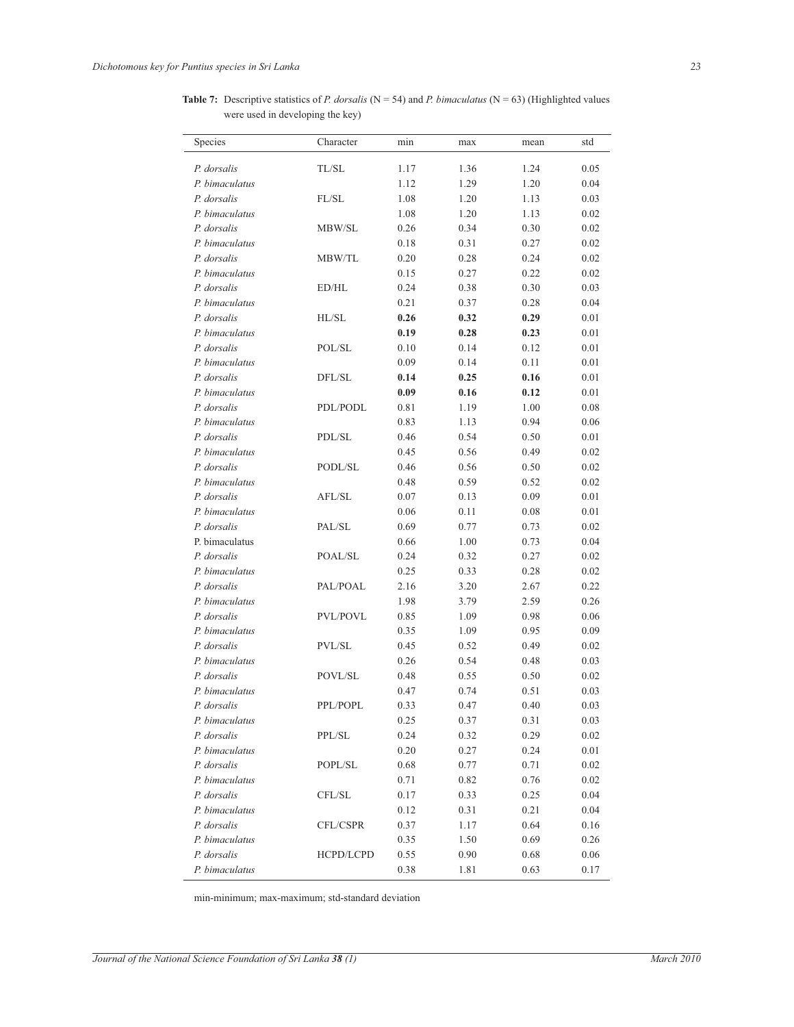**Table 7:** Descriptive statistics of *P. dorsalis* ( $N = 54$ ) and *P. bimaculatus* ( $N = 63$ ) (Highlighted values were used in developing the key)

| Species        | Character | min  | max  | mean | std  |
|----------------|-----------|------|------|------|------|
| P. dorsalis    | TL/SL     | 1.17 | 1.36 | 1.24 | 0.05 |
| P. bimaculatus |           | 1.12 | 1.29 | 1.20 | 0.04 |
| P. dorsalis    | FL/SL     | 1.08 | 1.20 | 1.13 | 0.03 |
| P. bimaculatus |           | 1.08 | 1.20 | 1.13 | 0.02 |
| P. dorsalis    | MBW/SL    | 0.26 | 0.34 | 0.30 | 0.02 |
| P. bimaculatus |           | 0.18 | 0.31 | 0.27 | 0.02 |
| P. dorsalis    | MBW/TL    | 0.20 | 0.28 | 0.24 | 0.02 |
| P. bimaculatus |           | 0.15 | 0.27 | 0.22 | 0.02 |
| P. dorsalis    | ED/HL     | 0.24 | 0.38 | 0.30 | 0.03 |
| P. bimaculatus |           | 0.21 | 0.37 | 0.28 | 0.04 |
| P. dorsalis    | HL/SL     | 0.26 | 0.32 | 0.29 | 0.01 |
| P. bimaculatus |           | 0.19 | 0.28 | 0.23 | 0.01 |
| P. dorsalis    | POL/SL    | 0.10 | 0.14 | 0.12 | 0.01 |
| P. bimaculatus |           | 0.09 | 0.14 | 0.11 | 0.01 |
| P. dorsalis    | DFL/SL    | 0.14 | 0.25 | 0.16 | 0.01 |
| P. bimaculatus |           | 0.09 | 0.16 | 0.12 | 0.01 |
| P. dorsalis    | PDL/PODL  | 0.81 | 1.19 | 1.00 | 0.08 |
| P. bimaculatus |           | 0.83 | 1.13 | 0.94 | 0.06 |
| P. dorsalis    | PDL/SL    | 0.46 | 0.54 | 0.50 | 0.01 |
| P. bimaculatus |           | 0.45 | 0.56 | 0.49 | 0.02 |
| P. dorsalis    | PODL/SL   | 0.46 | 0.56 | 0.50 | 0.02 |
| P. bimaculatus |           | 0.48 | 0.59 | 0.52 | 0.02 |
| P. dorsalis    | AFL/SL    | 0.07 | 0.13 | 0.09 | 0.01 |
| P. bimaculatus |           | 0.06 | 0.11 | 0.08 | 0.01 |
| P. dorsalis    | PAL/SL    | 0.69 | 0.77 | 0.73 | 0.02 |
| P. bimaculatus |           | 0.66 | 1.00 | 0.73 | 0.04 |
| P. dorsalis    | POAL/SL   | 0.24 | 0.32 | 0.27 | 0.02 |
| P. bimaculatus |           | 0.25 | 0.33 | 0.28 | 0.02 |
| P. dorsalis    | PAL/POAL  | 2.16 | 3.20 | 2.67 | 0.22 |
| P. bimaculatus |           | 1.98 | 3.79 | 2.59 | 0.26 |
| P. dorsalis    | PVL/POVL  | 0.85 | 1.09 | 0.98 | 0.06 |
| P. bimaculatus |           | 0.35 | 1.09 | 0.95 | 0.09 |
| P. dorsalis    | PVL/SL    | 0.45 | 0.52 | 0.49 | 0.02 |
| P. bimaculatus |           | 0.26 | 0.54 | 0.48 | 0.03 |
| P. dorsalis    | POVL/SL   | 0.48 | 0.55 | 0.50 | 0.02 |
| P. bimaculatus |           | 0.47 | 0.74 | 0.51 | 0.03 |
| P. dorsalis    | PPL/POPL  | 0.33 | 0.47 | 0.40 | 0.03 |
| P. bimaculatus |           | 0.25 | 0.37 | 0.31 | 0.03 |
| P. dorsalis    | PPL/SL    | 0.24 | 0.32 | 0.29 | 0.02 |
| P. bimaculatus |           | 0.20 | 0.27 | 0.24 | 0.01 |
| P. dorsalis    | POPL/SL   | 0.68 | 0.77 | 0.71 | 0.02 |
| P. bimaculatus |           | 0.71 | 0.82 | 0.76 | 0.02 |
| P. dorsalis    | CFL/SL    | 0.17 | 0.33 | 0.25 | 0.04 |
| P. bimaculatus |           | 0.12 | 0.31 | 0.21 | 0.04 |
| P. dorsalis    | CFL/CSPR  | 0.37 | 1.17 | 0.64 | 0.16 |
| P. bimaculatus |           | 0.35 | 1.50 | 0.69 | 0.26 |
| P. dorsalis    | HCPD/LCPD | 0.55 | 0.90 | 0.68 | 0.06 |
| P. bimaculatus |           | 0.38 | 1.81 | 0.63 | 0.17 |

min-minimum; max-maximum; std-standard deviation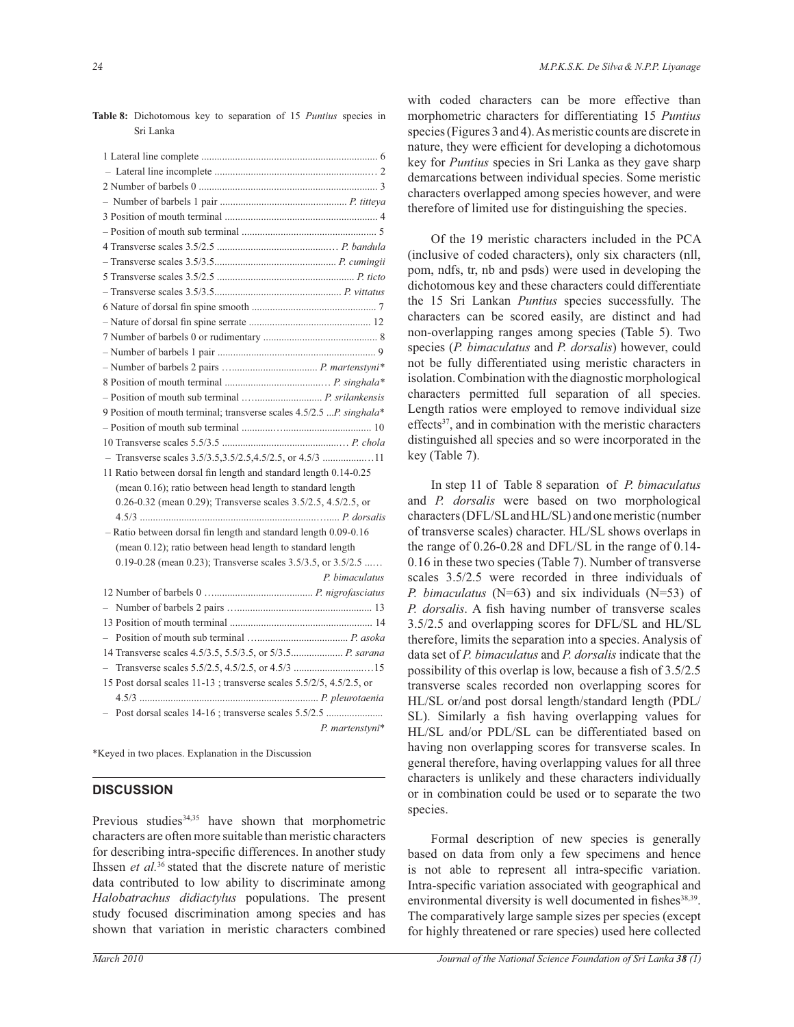| 9 Position of mouth terminal; transverse scales 4.5/2.5  P. singhala* |
|-----------------------------------------------------------------------|
|                                                                       |
|                                                                       |
| - Transverse scales 3.5/3.5,3.5/2.5,4.5/2.5, or 4.5/3 11              |
| 11 Ratio between dorsal fin length and standard length 0.14-0.25      |
| (mean 0.16); ratio between head length to standard length             |
| 0.26-0.32 (mean 0.29); Transverse scales 3.5/2.5, 4.5/2.5, or         |
|                                                                       |
| - Ratio between dorsal fin length and standard length 0.09-0.16       |
| (mean 0.12); ratio between head length to standard length             |
| 0.19-0.28 (mean 0.23); Transverse scales 3.5/3.5, or 3.5/2.5          |
| P. bimaculatus                                                        |
|                                                                       |
|                                                                       |
|                                                                       |
|                                                                       |
|                                                                       |
|                                                                       |
| 15 Post dorsal scales 11-13; transverse scales 5.5/2/5, 4.5/2.5, or   |
|                                                                       |
| Post dorsal scales 14-16; transverse scales 5.5/2.5                   |
| P. martenstyni*                                                       |
|                                                                       |

**Table 8:** Dichotomous key to separation of 15 *Puntius* species in Sri Lanka

\*Keyed in two places. Explanation in the Discussion

#### **DISCUSSION**

Previous studies<sup>34,35</sup> have shown that morphometric characters are often more suitable than meristic characters for describing intra-specific differences. In another study Ihssen *et al.*<sup>36</sup> stated that the discrete nature of meristic data contributed to low ability to discriminate among *Halobatrachus didiactylus* populations. The present study focused discrimination among species and has shown that variation in meristic characters combined

with coded characters can be more effective than morphometric characters for differentiating 15 *Puntius* species (Figures 3 and 4). As meristic counts are discrete in nature, they were efficient for developing a dichotomous key for *Puntius* species in Sri Lanka as they gave sharp demarcations between individual species. Some meristic characters overlapped among species however, and were therefore of limited use for distinguishing the species.

 Of the 19 meristic characters included in the PCA (inclusive of coded characters), only six characters (nll, pom, ndfs, tr, nb and psds) were used in developing the dichotomous key and these characters could differentiate the 15 Sri Lankan *Puntius* species successfully. The characters can be scored easily, are distinct and had non-overlapping ranges among species (Table 5). Two species (*P. bimaculatus* and *P. dorsalis*) however, could not be fully differentiated using meristic characters in isolation. Combination with the diagnostic morphological characters permitted full separation of all species. Length ratios were employed to remove individual size effects<sup>37</sup>, and in combination with the meristic characters distinguished all species and so were incorporated in the key (Table 7).

 In step 11 of Table 8 separation of *P. bimaculatus* and *P. dorsalis* were based on two morphological characters (DFL/SL and HL/SL) and one meristic (number of transverse scales) character. HL/SL shows overlaps in the range of 0.26-0.28 and DFL/SL in the range of 0.14- 0.16 in these two species (Table 7). Number of transverse scales 3.5/2.5 were recorded in three individuals of *P. bimaculatus* (N=63) and six individuals (N=53) of *P. dorsalis*. A fish having number of transverse scales 3.5/2.5 and overlapping scores for DFL/SL and HL/SL therefore, limits the separation into a species. Analysis of data set of *P. bimaculatus* and *P. dorsalis* indicate that the possibility of this overlap is low, because a fish of 3.5/2.5 transverse scales recorded non overlapping scores for HL/SL or/and post dorsal length/standard length (PDL/ SL). Similarly a fish having overlapping values for HL/SL and/or PDL/SL can be differentiated based on having non overlapping scores for transverse scales. In general therefore, having overlapping values for all three characters is unlikely and these characters individually or in combination could be used or to separate the two species.

 Formal description of new species is generally based on data from only a few specimens and hence is not able to represent all intra-specific variation. Intra-specific variation associated with geographical and environmental diversity is well documented in fishes<sup>38,39</sup>. The comparatively large sample sizes per species (except for highly threatened or rare species) used here collected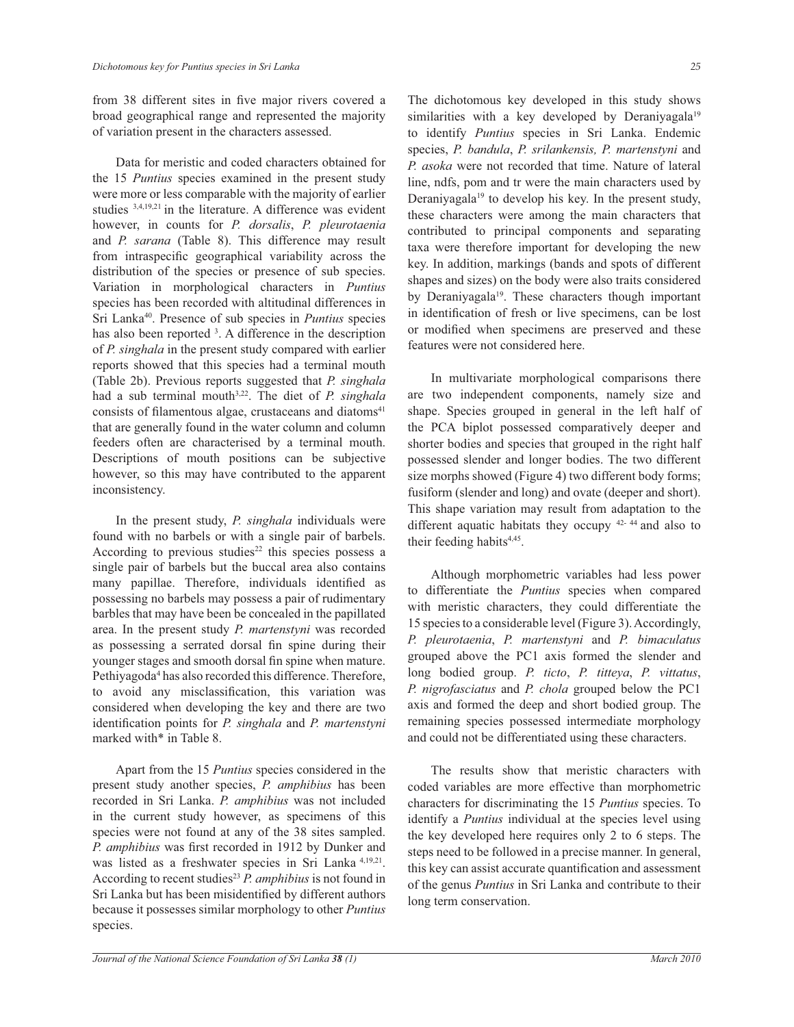from 38 different sites in five major rivers covered a broad geographical range and represented the majority of variation present in the characters assessed.

 Data for meristic and coded characters obtained for the 15 *Puntius* species examined in the present study were more or less comparable with the majority of earlier studies 3,4,19,21 in the literature. A difference was evident however, in counts for *P. dorsalis*, *P. pleurotaenia* and *P. sarana* (Table 8). This difference may result from intraspecific geographical variability across the distribution of the species or presence of sub species. Variation in morphological characters in *Puntius* species has been recorded with altitudinal differences in Sri Lanka<sup>40</sup>. Presence of sub species in *Puntius* species has also been reported <sup>3</sup>. A difference in the description of *P. singhala* in the present study compared with earlier reports showed that this species had a terminal mouth (Table 2b). Previous reports suggested that *P. singhala* had a sub terminal mouth3,22. The diet of *P. singhala* consists of filamentous algae, crustaceans and diatoms<sup>41</sup> that are generally found in the water column and column feeders often are characterised by a terminal mouth. Descriptions of mouth positions can be subjective however, so this may have contributed to the apparent inconsistency.

 In the present study, *P. singhala* individuals were found with no barbels or with a single pair of barbels. According to previous studies<sup>22</sup> this species possess a single pair of barbels but the buccal area also contains many papillae. Therefore, individuals identified as possessing no barbels may possess a pair of rudimentary barbles that may have been be concealed in the papillated area. In the present study *P. martenstyni* was recorded as possessing a serrated dorsal fin spine during their younger stages and smooth dorsal fin spine when mature. Pethiyagoda<sup>4</sup> has also recorded this difference. Therefore, to avoid any misclassification, this variation was considered when developing the key and there are two identification points for *P. singhala* and *P. martenstyni* marked with\* in Table 8.

 Apart from the 15 *Puntius* species considered in the present study another species, *P. amphibius* has been recorded in Sri Lanka. *P. amphibius* was not included in the current study however, as specimens of this species were not found at any of the 38 sites sampled. *P. amphibius* was first recorded in 1912 by Dunker and was listed as a freshwater species in Sri Lanka 4,19,21 . According to recent studies<sup>23</sup> *P. amphibius* is not found in Sri Lanka but has been misidentified by different authors because it possesses similar morphology to other *Puntius* species.

The dichotomous key developed in this study shows similarities with a key developed by Deraniyagala<sup>19</sup> to identify *Puntius* species in Sri Lanka. Endemic species, *P. bandula*, *P. srilankensis, P. martenstyni* and *P. asoka* were not recorded that time. Nature of lateral line, ndfs, pom and tr were the main characters used by Deraniyagala<sup>19</sup> to develop his key. In the present study, these characters were among the main characters that contributed to principal components and separating taxa were therefore important for developing the new key. In addition, markings (bands and spots of different shapes and sizes) on the body were also traits considered by Deraniyagala<sup>19</sup>. These characters though important in identification of fresh or live specimens, can be lost or modified when specimens are preserved and these features were not considered here.

 In multivariate morphological comparisons there are two independent components, namely size and shape. Species grouped in general in the left half of the PCA biplot possessed comparatively deeper and shorter bodies and species that grouped in the right half possessed slender and longer bodies. The two different size morphs showed (Figure 4) two different body forms; fusiform (slender and long) and ovate (deeper and short). This shape variation may result from adaptation to the different aquatic habitats they occupy 42- 44 and also to their feeding habits<sup>4,45</sup>.

 Although morphometric variables had less power to differentiate the *Puntius* species when compared with meristic characters, they could differentiate the 15 species to a considerable level (Figure 3). Accordingly, *P. pleurotaenia*, *P. martenstyni* and *P. bimaculatus* grouped above the PC1 axis formed the slender and long bodied group. *P. ticto*, *P. titteya*, *P. vittatus*, *P. nigrofasciatus* and *P. chola* grouped below the PC1 axis and formed the deep and short bodied group. The remaining species possessed intermediate morphology and could not be differentiated using these characters.

 The results show that meristic characters with coded variables are more effective than morphometric characters for discriminating the 15 *Puntius* species. To identify a *Puntius* individual at the species level using the key developed here requires only 2 to 6 steps. The steps need to be followed in a precise manner. In general, this key can assist accurate quantification and assessment of the genus *Puntius* in Sri Lanka and contribute to their long term conservation.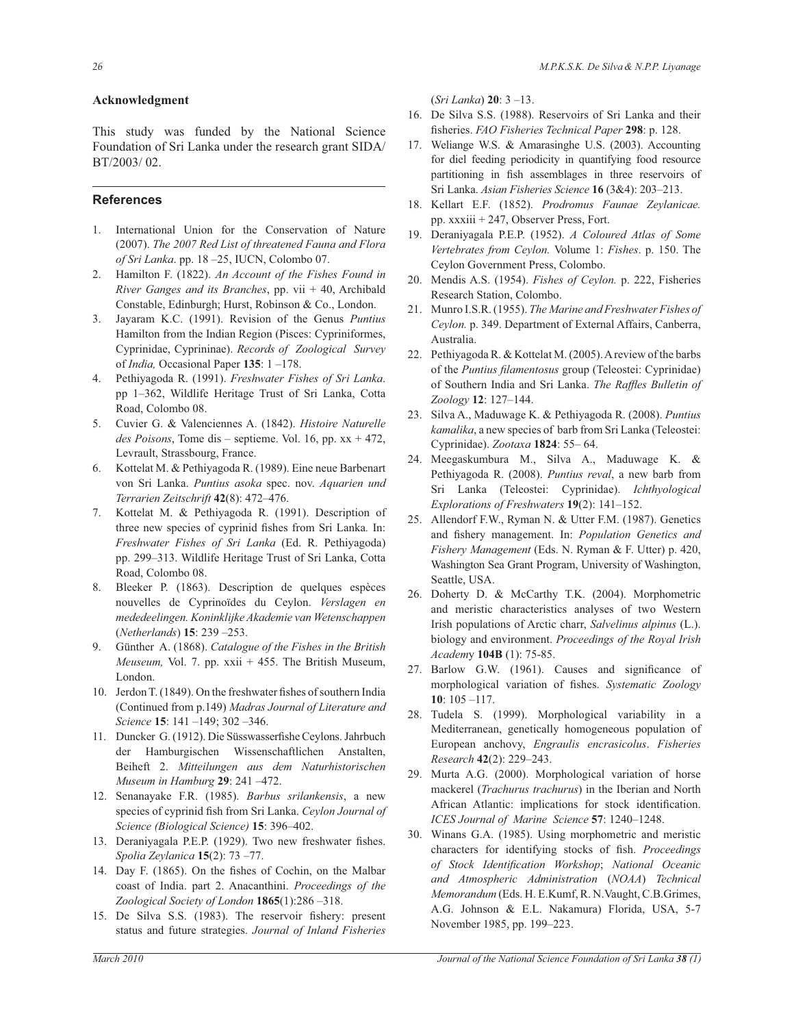### **Acknowledgment**

This study was funded by the National Science Foundation of Sri Lanka under the research grant SIDA/ BT/2003/ 02.

# **References**

- 1. International Union for the Conservation of Nature (2007). *The 2007 Red List of threatened Fauna and Flora of Sri Lanka*. pp. 18 –25, IUCN, Colombo 07.
- 2. Hamilton F. (1822). *An Account of the Fishes Found in River Ganges and its Branches*, pp. vii + 40, Archibald Constable, Edinburgh; Hurst, Robinson & Co., London.
- 3. Jayaram K.C. (1991). Revision of the Genus *Puntius* Hamilton from the Indian Region (Pisces: Cypriniformes, Cyprinidae, Cyprininae). *Records of Zoological Survey* of *India,* Occasional Paper **135**: 1 –178.
- 4. Pethiyagoda R. (1991). *Freshwater Fishes of Sri Lanka*. pp 1–362, Wildlife Heritage Trust of Sri Lanka, Cotta Road, Colombo 08.
- 5. Cuvier G. & Valenciennes A. (1842). *Histoire Naturelle des Poisons*, Tome dis – septieme. Vol. 16, pp.  $xx + 472$ , Levrault, Strassbourg, France.
- 6. Kottelat M. & Pethiyagoda R. (1989). Eine neue Barbenart von Sri Lanka. *Puntius asoka* spec. nov. *Aquarien und Terrarien Zeitschrift* **42**(8): 472–476.
- 7. Kottelat M. & Pethiyagoda R. (1991). Description of three new species of cyprinid fishes from Sri Lanka*.* In: *Freshwater Fishes of Sri Lanka* (Ed. R. Pethiyagoda) pp. 299–313. Wildlife Heritage Trust of Sri Lanka, Cotta Road, Colombo 08.
- 8. Bleeker P. (1863). Description de quelques espèces nouvelles de Cyprinoïdes du Ceylon. *Verslagen en mededeelingen. Koninklijke Akademie van Wetenschappen* (*Netherlands*) **15**: 239 –253.
- 9. Günther A. (1868). *Catalogue of the Fishes in the British Meuseum,* Vol. 7. pp. xxii + 455. The British Museum, London.
- 10. Jerdon T. (1849). On the freshwater fishes of southern India (Continued from p.149) *Madras Journal of Literature and Science* **15**: 141 –149; 302 –346.
- 11. Duncker G. (1912). Die Süsswasserfishe Ceylons. Jahrbuch der Hamburgischen Wissenschaftlichen Anstalten, Beiheft 2. *Mitteilungen aus dem Naturhistorischen Museum in Hamburg* **29**: 241 –472.
- 12. Senanayake F.R. (1985). *Barbus srilankensis*, a new species of cyprinid fish from Sri Lanka. *Ceylon Journal of Science (Biological Science)* **15**: 396–402.
- 13. Deraniyagala P.E.P. (1929). Two new freshwater fishes. *Spolia Zeylanica* **15**(2): 73 –77.
- 14. Day F. (1865). On the fishes of Cochin, on the Malbar coast of India. part 2. Anacanthini. *Proceedings of the Zoological Society of London* **1865**(1):286 –318.
- 15. De Silva S.S. (1983). The reservoir fishery: present status and future strategies. *Journal of Inland Fisheries*

(*Sri Lanka*) **20**: 3 –13.

- 16. De Silva S.S. (1988). Reservoirs of Sri Lanka and their fisheries. *FAO Fisheries Technical Paper* **298**: p. 128.
- 17. Weliange W.S. & Amarasinghe U.S. (2003). Accounting for diel feeding periodicity in quantifying food resource partitioning in fish assemblages in three reservoirs of Sri Lanka. *Asian Fisheries Science* **16** (3&4): 203–213.
- 18. Kellart E.F. (1852). *Prodromus Faunae Zeylanicae.* pp. xxxiii + 247, Observer Press, Fort.
- 19. Deraniyagala P.E.P. (1952). *A Coloured Atlas of Some Vertebrates from Ceylon.* Volume 1: *Fishes*. p. 150. The Ceylon Government Press, Colombo.
- 20. Mendis A.S. (1954). *Fishes of Ceylon.* p. 222, Fisheries Research Station, Colombo.
- 21. Munro I.S.R. (1955). *The Marine and Freshwater Fishes of Ceylon.* p. 349. Department of External Affairs, Canberra, Australia.
- 22. Pethiyagoda R. & Kottelat M. (2005). A review of the barbs of the *Puntius filamentosus* group (Teleostei: Cyprinidae) of Southern India and Sri Lanka. *The Raffles Bulletin of Zoology* **12**: 127–144.
- 23. Silva A., Maduwage K. & Pethiyagoda R. (2008). *Puntius kamalika*, a new species of barb from Sri Lanka (Teleostei: Cyprinidae). *Zootaxa* **1824**: 55– 64.
- 24. Meegaskumbura M., Silva A., Maduwage K. & Pethiyagoda R. (2008). *Puntius reval*, a new barb from Sri Lanka (Teleostei: Cyprinidae). *Ichthyological Explorations of Freshwaters* **19**(2): 141–152.
- 25. Allendorf F.W., Ryman N. & Utter F.M. (1987). Genetics and fishery management. In: *Population Genetics and Fishery Management* (Eds. N. Ryman & F. Utter) p. 420, Washington Sea Grant Program, University of Washington, Seattle, USA.
- 26. Doherty D. & McCarthy T.K. (2004). Morphometric and meristic characteristics analyses of two Western Irish populations of Arctic charr, *Salvelinus alpinus* (L.). biology and environment. *Proceedings of the Royal Irish Academ*y **104B** (1): 75-85.
- 27. Barlow G.W. (1961). Causes and significance of morphological variation of fishes. *Systematic Zoology* **10**: 105 –117.
- 28. Tudela S. (1999). Morphological variability in a Mediterranean, genetically homogeneous population of European anchovy, *Engraulis encrasicolus*. *Fisheries Research* **42**(2): 229–243.
- 29. Murta A.G. (2000). Morphological variation of horse mackerel (*Trachurus trachurus*) in the Iberian and North African Atlantic: implications for stock identification. *ICES Journal of Marine Science* **57**: 1240–1248.
- 30. Winans G.A. (1985). Using morphometric and meristic characters for identifying stocks of fish. *Proceedings of Stock Identification Workshop*; *National Oceanic and Atmospheric Administration* (*NOAA*) *Technical Memorandum* (Eds. H. E.Kumf, R. N.Vaught, C.B.Grimes, A.G. Johnson & E.L. Nakamura) Florida, USA, 5-7 November 1985, pp. 199–223.